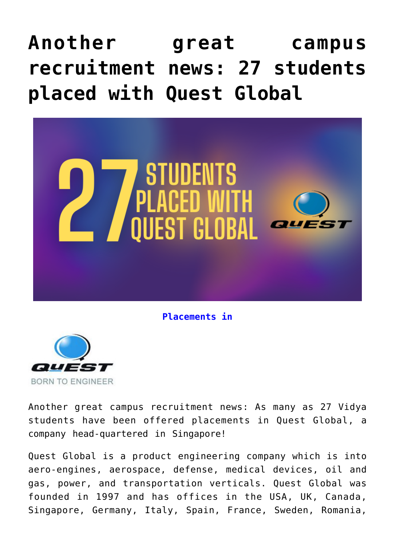## **[Another great campus](https://news.vidyaacademy.ac.in/2021/11/04/another-great-campus-recruitment-news-27-students-placed-with-quest-global/) [recruitment news: 27 students](https://news.vidyaacademy.ac.in/2021/11/04/another-great-campus-recruitment-news-27-students-placed-with-quest-global/) [placed with Quest Global](https://news.vidyaacademy.ac.in/2021/11/04/another-great-campus-recruitment-news-27-students-placed-with-quest-global/)**



**Placements in**



Another great campus recruitment news: As many as 27 Vidya students have been offered placements in Quest Global, a company head-quartered in Singapore!

Quest Global is a product engineering company which is into aero-engines, aerospace, defense, medical devices, oil and gas, power, and transportation verticals. Quest Global was founded in 1997 and has offices in the USA, UK, Canada, Singapore, Germany, Italy, Spain, France, Sweden, Romania,